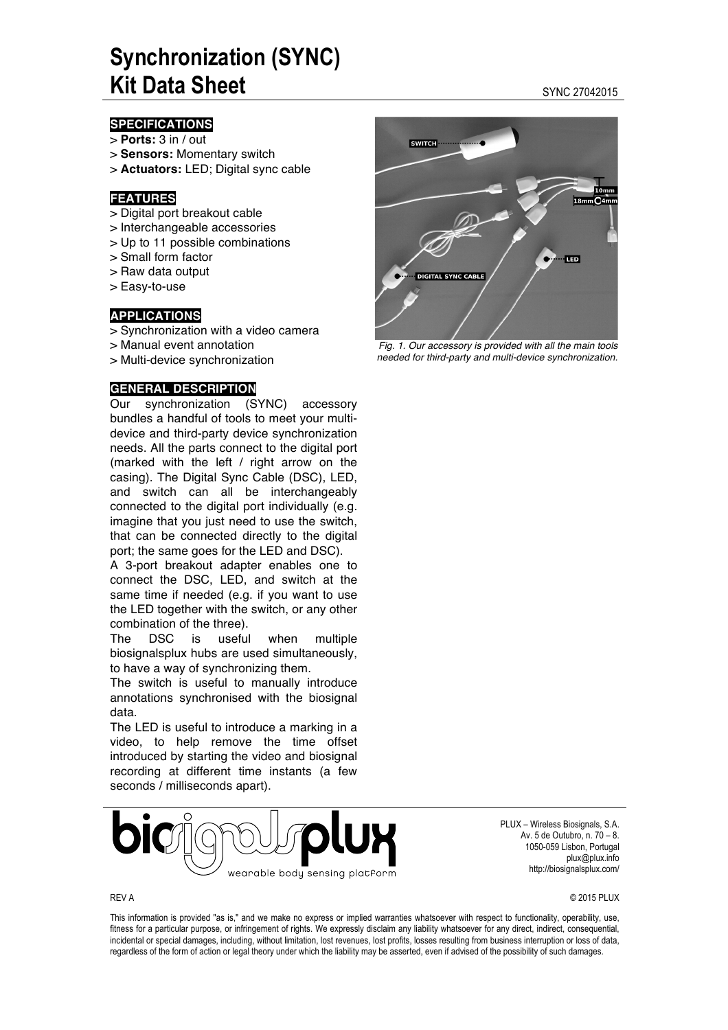## **Synchronization (SYNC) Kit Data Sheet Sheet Sync 27042015**

#### **SPECIFICATIONS**

- > **Ports:** 3 in / out
- > **Sensors:** Momentary switch
- > **Actuators:** LED; Digital sync cable

#### **FEATURES**

- > Digital port breakout cable
- > Interchangeable accessories
- > Up to 11 possible combinations
- > Small form factor
- > Raw data output
- > Easy-to-use

#### **APPLICATIONS**

- > Synchronization with a video camera
- > Manual event annotation
- > Multi-device synchronization

#### **GENERAL DESCRIPTION**

Our synchronization (SYNC) accessory bundles a handful of tools to meet your multidevice and third-party device synchronization needs. All the parts connect to the digital port (marked with the left / right arrow on the casing). The Digital Sync Cable (DSC), LED, and switch can all be interchangeably connected to the digital port individually (e.g. imagine that you just need to use the switch, that can be connected directly to the digital port; the same goes for the LED and DSC).

A 3-port breakout adapter enables one to connect the DSC, LED, and switch at the same time if needed (e.g. if you want to use the LED together with the switch, or any other combination of the three).

The DSC is useful when multiple biosignalsplux hubs are used simultaneously, to have a way of synchronizing them.

The switch is useful to manually introduce annotations synchronised with the biosignal data.

The LED is useful to introduce a marking in a video, to help remove the time offset introduced by starting the video and biosignal recording at different time instants (a few seconds / milliseconds apart).



PLUX – Wireless Biosignals, S.A. Av. 5 de Outubro, n. 70 – 8. 1050-059 Lisbon, Portugal plux@plux.info http://biosignalsplux.com/

REV A © 2015 PLUX

This information is provided "as is," and we make no express or implied warranties whatsoever with respect to functionality, operability, use, fitness for a particular purpose, or infringement of rights. We expressly disclaim any liability whatsoever for any direct, indirect, consequential, incidental or special damages, including, without limitation, lost revenues, lost profits, losses resulting from business interruption or loss of data, regardless of the form of action or legal theory under which the liability may be asserted, even if advised of the possibility of such damages.

# **SWITCH TED DIGITAL SYNC CABLE**

*Fig. 1. Our accessory is provided with all the main tools needed for third-party and multi-device synchronization.*